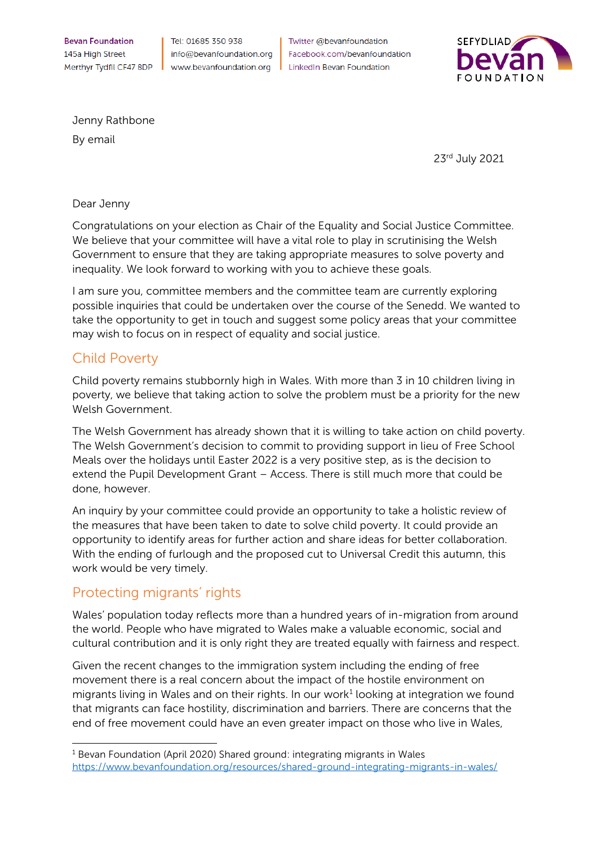**Bevan Foundation** 145a High Street Merthyr Tydfil CF47 8DP

Tel: 01685 350 938 info@bevanfoundation.org www.bevanfoundation.org

Twitter @bevanfoundation Facebook.com/bevanfoundation **LinkedIn Bevan Foundation** 



Jenny Rathbone

By email

23rd July 2021

## Dear Jenny

Congratulations on your election as Chair of the Equality and Social Justice Committee. We believe that your committee will have a vital role to play in scrutinising the Welsh Government to ensure that they are taking appropriate measures to solve poverty and inequality. We look forward to working with you to achieve these goals.

I am sure you, committee members and the committee team are currently exploring possible inquiries that could be undertaken over the course of the Senedd. We wanted to take the opportunity to get in touch and suggest some policy areas that your committee may wish to focus on in respect of equality and social justice.

## Child Poverty

Child poverty remains stubbornly high in Wales. With more than 3 in 10 children living in poverty, we believe that taking action to solve the problem must be a priority for the new Welsh Government.

The Welsh Government has already shown that it is willing to take action on child poverty. The Welsh Government's decision to commit to providing support in lieu of Free School Meals over the holidays until Easter 2022 is a very positive step, as is the decision to extend the Pupil Development Grant – Access. There is still much more that could be done, however.

An inquiry by your committee could provide an opportunity to take a holistic review of the measures that have been taken to date to solve child poverty. It could provide an opportunity to identify areas for further action and share ideas for better collaboration. With the ending of furlough and the proposed cut to Universal Credit this autumn, this work would be very timely.

## Protecting migrants' rights

Wales' population today reflects more than a hundred years of in-migration from around the world. People who have migrated to Wales make a valuable economic, social and cultural contribution and it is only right they are treated equally with fairness and respect.

Given the recent changes to the immigration system including the ending of free movement there is a real concern about the impact of the hostile environment on migrants living in Wales and on their rights. In our work<sup>[1](#page-0-0)</sup> looking at integration we found that migrants can face hostility, discrimination and barriers. There are concerns that the end of free movement could have an even greater impact on those who live in Wales,

<span id="page-0-0"></span><sup>1</sup> Bevan Foundation (April 2020) Shared ground: integrating migrants in Wales <https://www.bevanfoundation.org/resources/shared-ground-integrating-migrants-in-wales/>